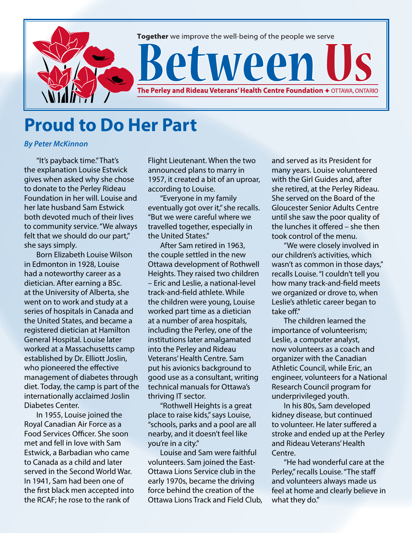

## **Proud to Do Her Part**

*By Peter McKinnon*

"It's payback time." That's the explanation Louise Estwick gives when asked why she chose to donate to the Perley Rideau Foundation in her will. Louise and her late husband Sam Estwick both devoted much of their lives to community service. "We always felt that we should do our part," she says simply.

Born Elizabeth Louise Wilson in Edmonton in 1928, Louise had a noteworthy career as a dietician. After earning a BSc. at the University of Alberta, she went on to work and study at a series of hospitals in Canada and the United States, and became a registered dietician at Hamilton General Hospital. Louise later worked at a Massachusetts camp established by Dr. Elliott Joslin, who pioneered the effective management of diabetes through diet. Today, the camp is part of the internationally acclaimed Joslin Diabetes Center.

In 1955, Louise joined the Royal Canadian Air Force as a Food Services Officer. She soon met and fell in love with Sam Estwick, a Barbadian who came to Canada as a child and later served in the Second World War. In 1941, Sam had been one of the first black men accepted into the RCAF; he rose to the rank of

Flight Lieutenant. When the two announced plans to marry in 1957, it created a bit of an uproar, according to Louise.

"Everyone in my family eventually got over it," she recalls. "But we were careful where we travelled together, especially in the United States."

After Sam retired in 1963, the couple settled in the new Ottawa development of Rothwell Heights. They raised two children – Eric and Leslie, a national-level track-and-field athlete. While the children were young, Louise worked part time as a dietician at a number of area hospitals, including the Perley, one of the institutions later amalgamated into the Perley and Rideau Veterans' Health Centre. Sam put his avionics background to good use as a consultant, writing technical manuals for Ottawa's thriving IT sector.

"Rothwell Heights is a great place to raise kids," says Louise, "schools, parks and a pool are all nearby, and it doesn't feel like you're in a city."

Louise and Sam were faithful volunteers. Sam joined the East-Ottawa Lions Service club in the early 1970s, became the driving force behind the creation of the Ottawa Lions Track and Field Club, and served as its President for many years. Louise volunteered with the Girl Guides and, after she retired, at the Perley Rideau. She served on the Board of the Gloucester Senior Adults Centre until she saw the poor quality of the lunches it offered – she then took control of the menu.

"We were closely involved in our children's activities, which wasn't as common in those days," recalls Louise. "I couldn't tell you how many track-and-field meets we organized or drove to, when Leslie's athletic career began to take off."

The children learned the importance of volunteerism; Leslie, a computer analyst, now volunteers as a coach and organizer with the Canadian Athletic Council, while Eric, an engineer, volunteers for a National Research Council program for underprivileged youth.

In his 80s, Sam developed kidney disease, but continued to volunteer. He later suffered a stroke and ended up at the Perley and Rideau Veterans' Health Centre.

"He had wonderful care at the Perley," recalls Louise. "The staff and volunteers always made us feel at home and clearly believe in what they do."